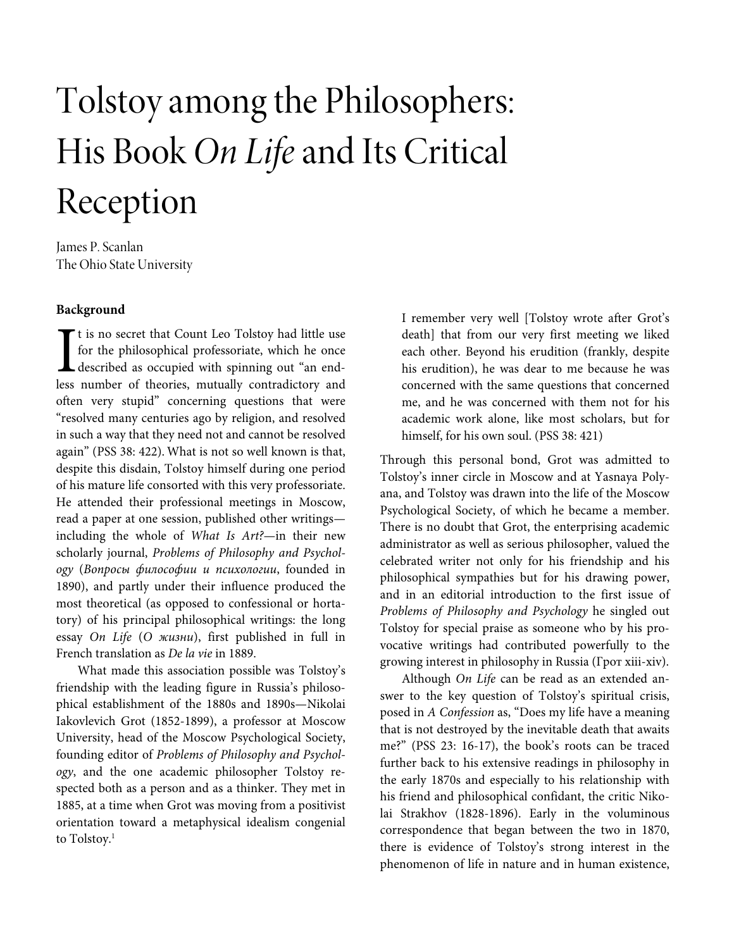# Tolstoy among the Philosophers: His Book On Life and Its Critical Reception

James P. Scanlan The Ohio State University

## **Background**

t is no secret that Count Leo Tolstoy had little use for the philosophical professoriate, which he once described as occupied with spinning out "an end-It is no secret that Count Leo Tolstoy had little use<br>for the philosophical professoriate, which he once<br>described as occupied with spinning out "an end-<br>less number of theories, mutually contradictory and often very stupid" concerning questions that were "resolved many centuries ago by religion, and resolved in such a way that they need not and cannot be resolved again" (PSS 38: 422). What is not so well known is that, despite this disdain, Tolstoy himself during one period of his mature life consorted with this very professoriate. He attended their professional meetings in Moscow, read a paper at one session, published other writings including the whole of What Is Art?—in their new scholarly journal, Problems of Philosophy and Psychology (Вопросы философии и психологии, founded in 1890), and partly under their influence produced the most theoretical (as opposed to confessional or hortatory) of his principal philosophical writings: the long essay On Life (О жизни), first published in full in French translation as De la vie in 1889.

What made this association possible was Tolstoy's friendship with the leading figure in Russia's philosophical establishment of the 1880s and 1890s—Nikolai Iakovlevich Grot (1852-1899), a professor at Moscow University, head of the Moscow Psychological Society, founding editor of Problems of Philosophy and Psychology, and the one academic philosopher Tolstoy respected both as a person and as a thinker. They met in 1885, at a time when Grot was moving from a positivist orientation toward a metaphysical idealism congenial to Tolstoy.<sup>1</sup>

I remember very well [Tolstoy wrote after Grot's death] that from our very first meeting we liked each other. Beyond his erudition (frankly, despite his erudition), he was dear to me because he was concerned with the same questions that concerned me, and he was concerned with them not for his academic work alone, like most scholars, but for himself, for his own soul. (PSS 38: 421)

Through this personal bond, Grot was admitted to Tolstoy's inner circle in Moscow and at Yasnaya Polyana, and Tolstoy was drawn into the life of the Moscow Psychological Society, of which he became a member. There is no doubt that Grot, the enterprising academic administrator as well as serious philosopher, valued the celebrated writer not only for his friendship and his philosophical sympathies but for his drawing power, and in an editorial introduction to the first issue of Problems of Philosophy and Psychology he singled out Tolstoy for special praise as someone who by his provocative writings had contributed powerfully to the growing interest in philosophy in Russia (Грот xiii-xiv).

Although On Life can be read as an extended answer to the key question of Tolstoy's spiritual crisis, posed in A Confession as, "Does my life have a meaning that is not destroyed by the inevitable death that awaits me?" (PSS 23: 16-17), the book's roots can be traced further back to his extensive readings in philosophy in the early 1870s and especially to his relationship with his friend and philosophical confidant, the critic Nikolai Strakhov (1828-1896). Early in the voluminous correspondence that began between the two in 1870, there is evidence of Tolstoy's strong interest in the phenomenon of life in nature and in human existence,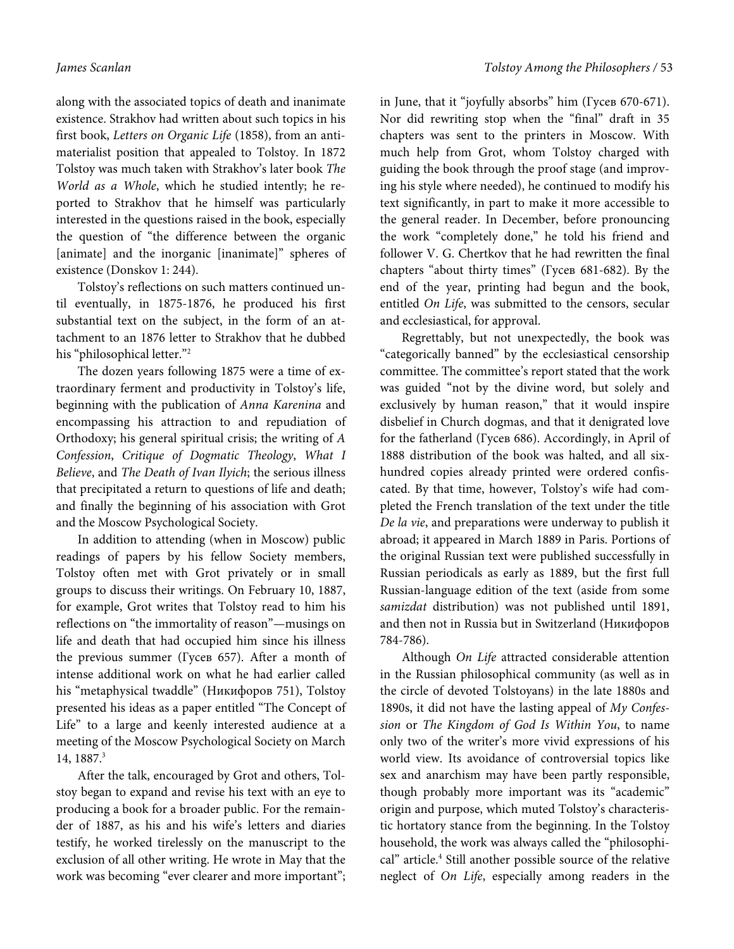along with the associated topics of death and inanimate existence. Strakhov had written about such topics in his first book, Letters on Organic Life (1858), from an antimaterialist position that appealed to Tolstoy. In 1872 Tolstoy was much taken with Strakhov's later book The World as a Whole, which he studied intently; he reported to Strakhov that he himself was particularly interested in the questions raised in the book, especially the question of "the difference between the organic [animate] and the inorganic [inanimate]" spheres of existence (Donskov 1: 244).

Tolstoy's reflections on such matters continued until eventually, in 1875-1876, he produced his first substantial text on the subject, in the form of an attachment to an 1876 letter to Strakhov that he dubbed his "philosophical letter."<sup>2</sup>

The dozen years following 1875 were a time of extraordinary ferment and productivity in Tolstoy's life, beginning with the publication of Anna Karenina and encompassing his attraction to and repudiation of Orthodoxy; his general spiritual crisis; the writing of A Confession, Critique of Dogmatic Theology, What I Believe, and The Death of Ivan Ilyich; the serious illness that precipitated a return to questions of life and death; and finally the beginning of his association with Grot and the Moscow Psychological Society.

In addition to attending (when in Moscow) public readings of papers by his fellow Society members, Tolstoy often met with Grot privately or in small groups to discuss their writings. On February 10, 1887, for example, Grot writes that Tolstoy read to him his reflections on "the immortality of reason"—musings on life and death that had occupied him since his illness the previous summer (Гусев 657). After a month of intense additional work on what he had earlier called his "metaphysical twaddle" (Никифоров 751), Tolstoy presented his ideas as a paper entitled "The Concept of Life" to a large and keenly interested audience at a meeting of the Moscow Psychological Society on March 14, 1887.<sup>3</sup>

After the talk, encouraged by Grot and others, Tolstoy began to expand and revise his text with an eye to producing a book for a broader public. For the remainder of 1887, as his and his wife's letters and diaries testify, he worked tirelessly on the manuscript to the exclusion of all other writing. He wrote in May that the work was becoming "ever clearer and more important"; in June, that it "joyfully absorbs" him (Гусев 670-671). Nor did rewriting stop when the "final" draft in 35 chapters was sent to the printers in Moscow. With much help from Grot, whom Tolstoy charged with guiding the book through the proof stage (and improving his style where needed), he continued to modify his text significantly, in part to make it more accessible to the general reader. In December, before pronouncing the work "completely done," he told his friend and follower V. G. Chertkov that he had rewritten the final chapters "about thirty times" (Гусев 681-682). By the end of the year, printing had begun and the book, entitled On Life, was submitted to the censors, secular and ecclesiastical, for approval.

Regrettably, but not unexpectedly, the book was "categorically banned" by the ecclesiastical censorship committee. The committee's report stated that the work was guided "not by the divine word, but solely and exclusively by human reason," that it would inspire disbelief in Church dogmas, and that it denigrated love for the fatherland (Гусев 686). Accordingly, in April of 1888 distribution of the book was halted, and all sixhundred copies already printed were ordered confiscated. By that time, however, Tolstoy's wife had completed the French translation of the text under the title De la vie, and preparations were underway to publish it abroad; it appeared in March 1889 in Paris. Portions of the original Russian text were published successfully in Russian periodicals as early as 1889, but the first full Russian-language edition of the text (aside from some samizdat distribution) was not published until 1891, and then not in Russia but in Switzerland (Никифоров 784-786).

Although On Life attracted considerable attention in the Russian philosophical community (as well as in the circle of devoted Tolstoyans) in the late 1880s and 1890s, it did not have the lasting appeal of My Confession or The Kingdom of God Is Within You, to name only two of the writer's more vivid expressions of his world view. Its avoidance of controversial topics like sex and anarchism may have been partly responsible, though probably more important was its "academic" origin and purpose, which muted Tolstoy's characteristic hortatory stance from the beginning. In the Tolstoy household, the work was always called the "philosophical" article.<sup>4</sup> Still another possible source of the relative neglect of On Life, especially among readers in the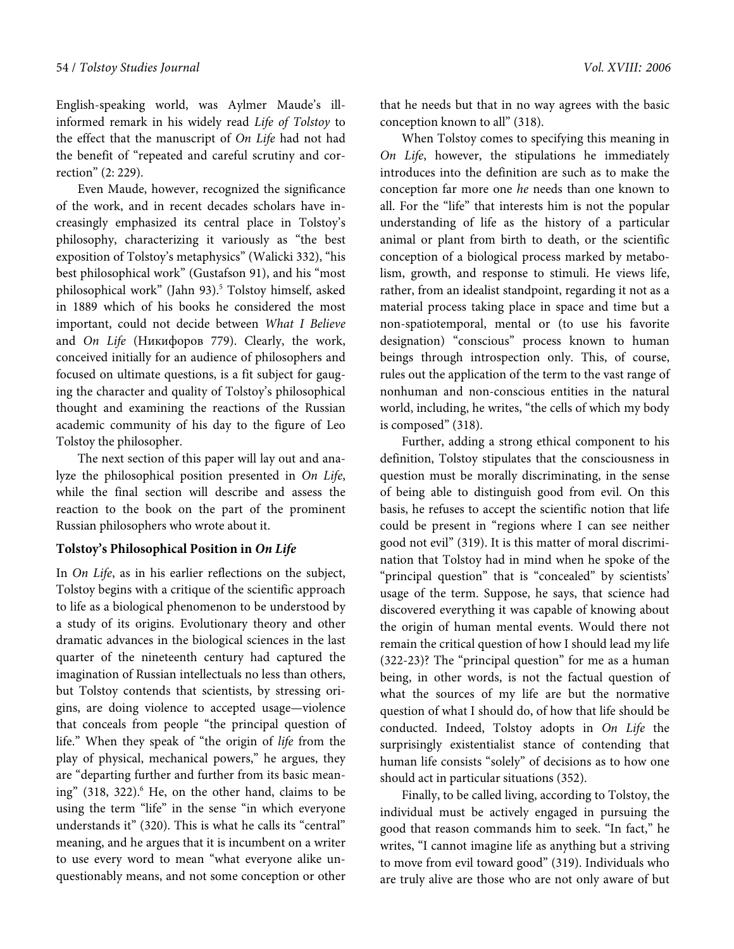English-speaking world, was Aylmer Maude's illinformed remark in his widely read Life of Tolstoy to the effect that the manuscript of On Life had not had the benefit of "repeated and careful scrutiny and correction" (2: 229).

Even Maude, however, recognized the significance of the work, and in recent decades scholars have increasingly emphasized its central place in Tolstoy's philosophy, characterizing it variously as "the best exposition of Tolstoy's metaphysics" (Walicki 332), "his best philosophical work" (Gustafson 91), and his "most philosophical work" (Jahn 93).<sup>5</sup> Tolstoy himself, asked in 1889 which of his books he considered the most important, could not decide between What I Believe and On Life (Никифоров 779). Clearly, the work, conceived initially for an audience of philosophers and focused on ultimate questions, is a fit subject for gauging the character and quality of Tolstoy's philosophical thought and examining the reactions of the Russian academic community of his day to the figure of Leo Tolstoy the philosopher.

The next section of this paper will lay out and analyze the philosophical position presented in On Life, while the final section will describe and assess the reaction to the book on the part of the prominent Russian philosophers who wrote about it.

### **Tolstoy's Philosophical Position in On Life**

In On Life, as in his earlier reflections on the subject, Tolstoy begins with a critique of the scientific approach to life as a biological phenomenon to be understood by a study of its origins. Evolutionary theory and other dramatic advances in the biological sciences in the last quarter of the nineteenth century had captured the imagination of Russian intellectuals no less than others, but Tolstoy contends that scientists, by stressing origins, are doing violence to accepted usage—violence that conceals from people "the principal question of life." When they speak of "the origin of life from the play of physical, mechanical powers," he argues, they are "departing further and further from its basic meaning" (318, 322).<sup>6</sup> He, on the other hand, claims to be using the term "life" in the sense "in which everyone understands it" (320). This is what he calls its "central" meaning, and he argues that it is incumbent on a writer to use every word to mean "what everyone alike unquestionably means, and not some conception or other

that he needs but that in no way agrees with the basic conception known to all" (318).

When Tolstoy comes to specifying this meaning in On Life, however, the stipulations he immediately introduces into the definition are such as to make the conception far more one he needs than one known to all. For the "life" that interests him is not the popular understanding of life as the history of a particular animal or plant from birth to death, or the scientific conception of a biological process marked by metabolism, growth, and response to stimuli. He views life, rather, from an idealist standpoint, regarding it not as a material process taking place in space and time but a non-spatiotemporal, mental or (to use his favorite designation) "conscious" process known to human beings through introspection only. This, of course, rules out the application of the term to the vast range of nonhuman and non-conscious entities in the natural world, including, he writes, "the cells of which my body is composed" (318).

Further, adding a strong ethical component to his definition, Tolstoy stipulates that the consciousness in question must be morally discriminating, in the sense of being able to distinguish good from evil. On this basis, he refuses to accept the scientific notion that life could be present in "regions where I can see neither good not evil" (319). It is this matter of moral discrimination that Tolstoy had in mind when he spoke of the "principal question" that is "concealed" by scientists' usage of the term. Suppose, he says, that science had discovered everything it was capable of knowing about the origin of human mental events. Would there not remain the critical question of how I should lead my life (322-23)? The "principal question" for me as a human being, in other words, is not the factual question of what the sources of my life are but the normative question of what I should do, of how that life should be conducted. Indeed, Tolstoy adopts in On Life the surprisingly existentialist stance of contending that human life consists "solely" of decisions as to how one should act in particular situations (352).

Finally, to be called living, according to Tolstoy, the individual must be actively engaged in pursuing the good that reason commands him to seek. "In fact," he writes, "I cannot imagine life as anything but a striving to move from evil toward good" (319). Individuals who are truly alive are those who are not only aware of but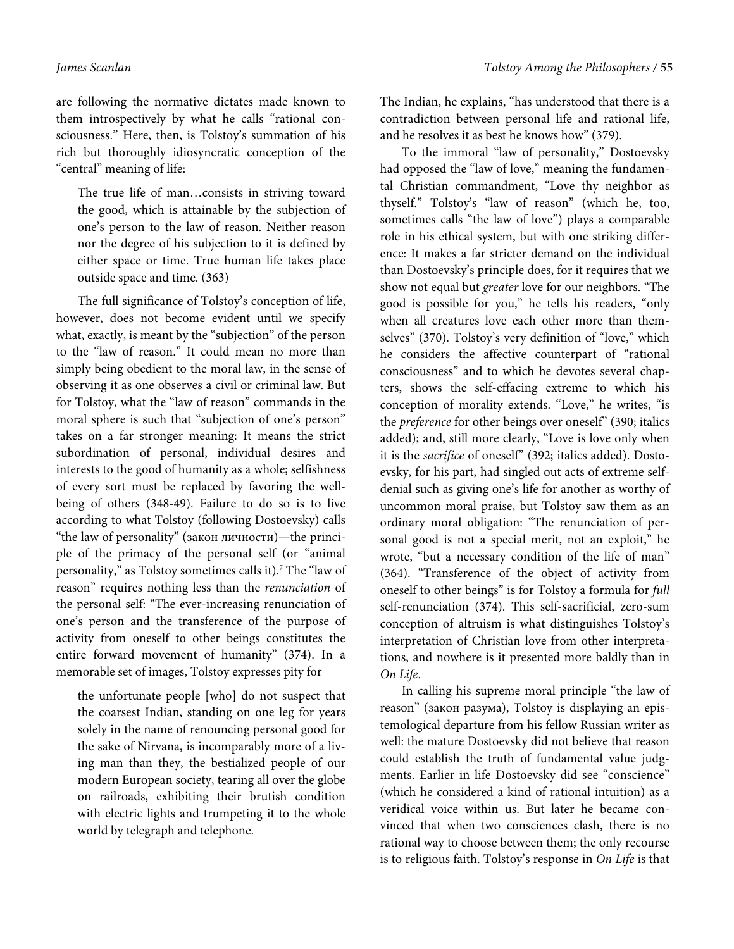are following the normative dictates made known to them introspectively by what he calls "rational consciousness." Here, then, is Tolstoy's summation of his rich but thoroughly idiosyncratic conception of the "central" meaning of life:

The true life of man…consists in striving toward the good, which is attainable by the subjection of one's person to the law of reason. Neither reason nor the degree of his subjection to it is defined by either space or time. True human life takes place outside space and time. (363)

The full significance of Tolstoy's conception of life, however, does not become evident until we specify what, exactly, is meant by the "subjection" of the person to the "law of reason." It could mean no more than simply being obedient to the moral law, in the sense of observing it as one observes a civil or criminal law. But for Tolstoy, what the "law of reason" commands in the moral sphere is such that "subjection of one's person" takes on a far stronger meaning: It means the strict subordination of personal, individual desires and interests to the good of humanity as a whole; selfishness of every sort must be replaced by favoring the wellbeing of others (348-49). Failure to do so is to live according to what Tolstoy (following Dostoevsky) calls "the law of personality" (закон личности)—the principle of the primacy of the personal self (or "animal personality," as Tolstoy sometimes calls it).<sup>7</sup> The "law of reason" requires nothing less than the renunciation of the personal self: "The ever-increasing renunciation of one's person and the transference of the purpose of activity from oneself to other beings constitutes the entire forward movement of humanity" (374). In a memorable set of images, Tolstoy expresses pity for

the unfortunate people [who] do not suspect that the coarsest Indian, standing on one leg for years solely in the name of renouncing personal good for the sake of Nirvana, is incomparably more of a living man than they, the bestialized people of our modern European society, tearing all over the globe on railroads, exhibiting their brutish condition with electric lights and trumpeting it to the whole world by telegraph and telephone.

The Indian, he explains, "has understood that there is a contradiction between personal life and rational life, and he resolves it as best he knows how" (379).

To the immoral "law of personality," Dostoevsky had opposed the "law of love," meaning the fundamental Christian commandment, "Love thy neighbor as thyself." Tolstoy's "law of reason" (which he, too, sometimes calls "the law of love") plays a comparable role in his ethical system, but with one striking difference: It makes a far stricter demand on the individual than Dostoevsky's principle does, for it requires that we show not equal but greater love for our neighbors. "The good is possible for you," he tells his readers, "only when all creatures love each other more than themselves" (370). Tolstoy's very definition of "love," which he considers the affective counterpart of "rational consciousness" and to which he devotes several chapters, shows the self-effacing extreme to which his conception of morality extends. "Love," he writes, "is the *preference* for other beings over oneself" (390; italics added); and, still more clearly, "Love is love only when it is the sacrifice of oneself" (392; italics added). Dostoevsky, for his part, had singled out acts of extreme selfdenial such as giving one's life for another as worthy of uncommon moral praise, but Tolstoy saw them as an ordinary moral obligation: "The renunciation of personal good is not a special merit, not an exploit," he wrote, "but a necessary condition of the life of man" (364). "Transference of the object of activity from oneself to other beings" is for Tolstoy a formula for full self-renunciation (374). This self-sacrificial, zero-sum conception of altruism is what distinguishes Tolstoy's interpretation of Christian love from other interpretations, and nowhere is it presented more baldly than in On Life.

In calling his supreme moral principle "the law of reason" (закон разума), Tolstoy is displaying an epistemological departure from his fellow Russian writer as well: the mature Dostoevsky did not believe that reason could establish the truth of fundamental value judgments. Earlier in life Dostoevsky did see "conscience" (which he considered a kind of rational intuition) as a veridical voice within us. But later he became convinced that when two consciences clash, there is no rational way to choose between them; the only recourse is to religious faith. Tolstoy's response in On Life is that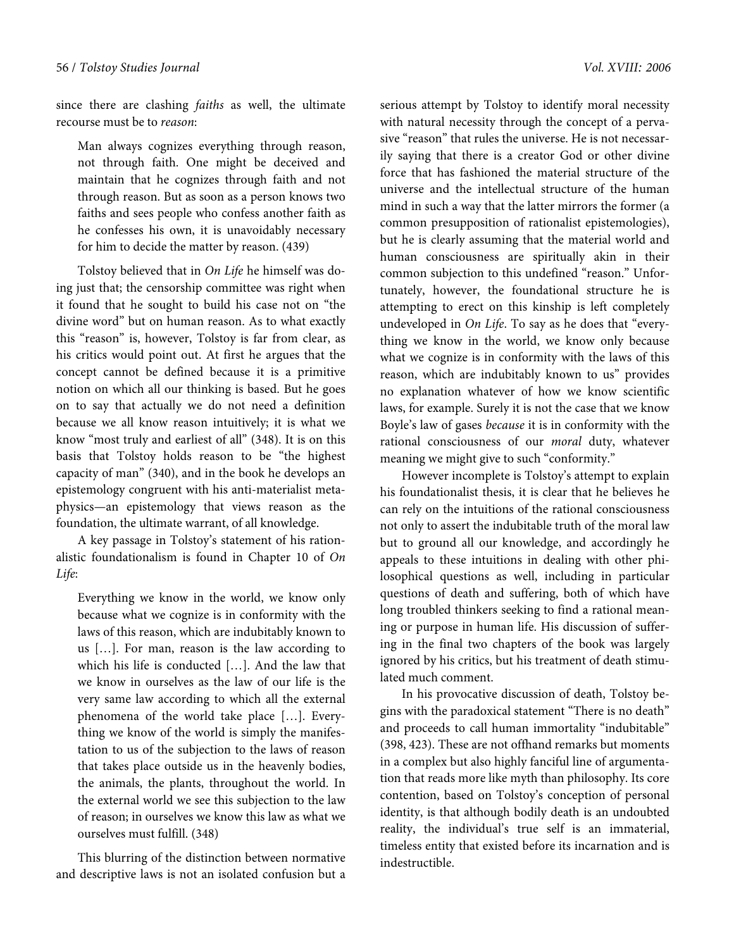since there are clashing *faiths* as well, the ultimate recourse must be to reason:

Man always cognizes everything through reason, not through faith. One might be deceived and maintain that he cognizes through faith and not through reason. But as soon as a person knows two faiths and sees people who confess another faith as he confesses his own, it is unavoidably necessary for him to decide the matter by reason. (439)

Tolstoy believed that in On Life he himself was doing just that; the censorship committee was right when it found that he sought to build his case not on "the divine word" but on human reason. As to what exactly this "reason" is, however, Tolstoy is far from clear, as his critics would point out. At first he argues that the concept cannot be defined because it is a primitive notion on which all our thinking is based. But he goes on to say that actually we do not need a definition because we all know reason intuitively; it is what we know "most truly and earliest of all" (348). It is on this basis that Tolstoy holds reason to be "the highest capacity of man" (340), and in the book he develops an epistemology congruent with his anti-materialist metaphysics—an epistemology that views reason as the foundation, the ultimate warrant, of all knowledge.

A key passage in Tolstoy's statement of his rationalistic foundationalism is found in Chapter 10 of On Life:

Everything we know in the world, we know only because what we cognize is in conformity with the laws of this reason, which are indubitably known to us […]. For man, reason is the law according to which his life is conducted […]. And the law that we know in ourselves as the law of our life is the very same law according to which all the external phenomena of the world take place […]. Everything we know of the world is simply the manifestation to us of the subjection to the laws of reason that takes place outside us in the heavenly bodies, the animals, the plants, throughout the world. In the external world we see this subjection to the law of reason; in ourselves we know this law as what we ourselves must fulfill. (348)

This blurring of the distinction between normative and descriptive laws is not an isolated confusion but a

serious attempt by Tolstoy to identify moral necessity with natural necessity through the concept of a pervasive "reason" that rules the universe. He is not necessarily saying that there is a creator God or other divine force that has fashioned the material structure of the universe and the intellectual structure of the human mind in such a way that the latter mirrors the former (a common presupposition of rationalist epistemologies), but he is clearly assuming that the material world and human consciousness are spiritually akin in their common subjection to this undefined "reason." Unfortunately, however, the foundational structure he is attempting to erect on this kinship is left completely undeveloped in On Life. To say as he does that "everything we know in the world, we know only because what we cognize is in conformity with the laws of this reason, which are indubitably known to us" provides no explanation whatever of how we know scientific laws, for example. Surely it is not the case that we know Boyle's law of gases because it is in conformity with the rational consciousness of our moral duty, whatever

However incomplete is Tolstoy's attempt to explain his foundationalist thesis, it is clear that he believes he can rely on the intuitions of the rational consciousness not only to assert the indubitable truth of the moral law but to ground all our knowledge, and accordingly he appeals to these intuitions in dealing with other philosophical questions as well, including in particular questions of death and suffering, both of which have long troubled thinkers seeking to find a rational meaning or purpose in human life. His discussion of suffering in the final two chapters of the book was largely ignored by his critics, but his treatment of death stimulated much comment.

meaning we might give to such "conformity."

In his provocative discussion of death, Tolstoy begins with the paradoxical statement "There is no death" and proceeds to call human immortality "indubitable" (398, 423). These are not offhand remarks but moments in a complex but also highly fanciful line of argumentation that reads more like myth than philosophy. Its core contention, based on Tolstoy's conception of personal identity, is that although bodily death is an undoubted reality, the individual's true self is an immaterial, timeless entity that existed before its incarnation and is indestructible.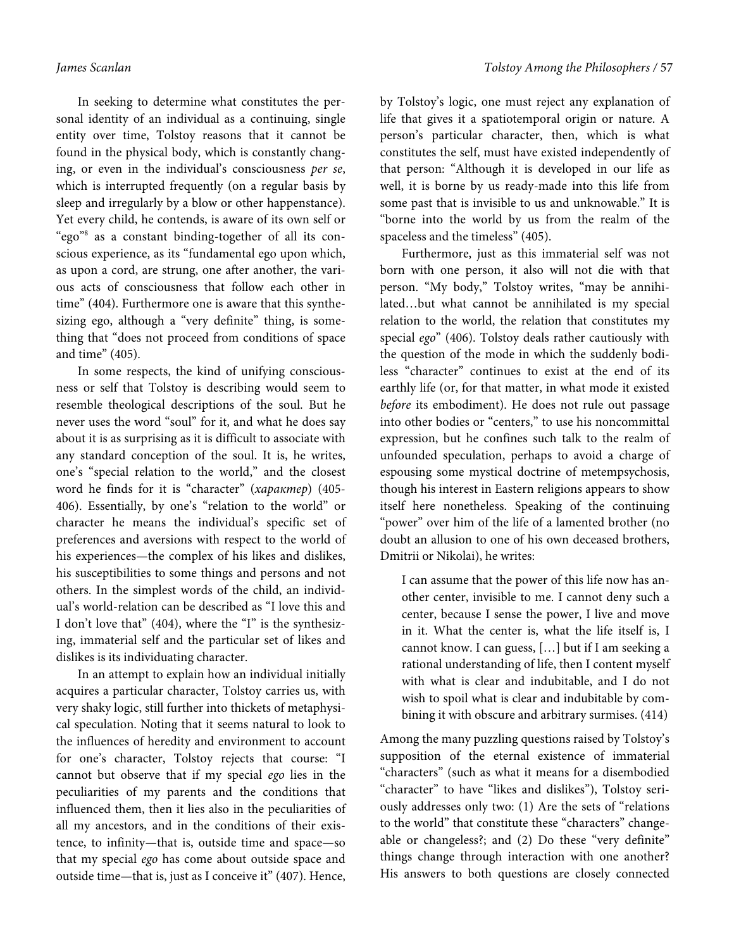In seeking to determine what constitutes the personal identity of an individual as a continuing, single entity over time, Tolstoy reasons that it cannot be found in the physical body, which is constantly changing, or even in the individual's consciousness per se, which is interrupted frequently (on a regular basis by sleep and irregularly by a blow or other happenstance). Yet every child, he contends, is aware of its own self or "ego"<sup>8</sup> as a constant binding-together of all its conscious experience, as its "fundamental ego upon which, as upon a cord, are strung, one after another, the various acts of consciousness that follow each other in time" (404). Furthermore one is aware that this synthesizing ego, although a "very definite" thing, is something that "does not proceed from conditions of space and time" (405).

In some respects, the kind of unifying consciousness or self that Tolstoy is describing would seem to resemble theological descriptions of the soul. But he never uses the word "soul" for it, and what he does say about it is as surprising as it is difficult to associate with any standard conception of the soul. It is, he writes, one's "special relation to the world," and the closest word he finds for it is "character" (характер) (405- 406). Essentially, by one's "relation to the world" or character he means the individual's specific set of preferences and aversions with respect to the world of his experiences—the complex of his likes and dislikes, his susceptibilities to some things and persons and not others. In the simplest words of the child, an individual's world-relation can be described as "I love this and I don't love that" (404), where the "I" is the synthesizing, immaterial self and the particular set of likes and dislikes is its individuating character.

In an attempt to explain how an individual initially acquires a particular character, Tolstoy carries us, with very shaky logic, still further into thickets of metaphysical speculation. Noting that it seems natural to look to the influences of heredity and environment to account for one's character, Tolstoy rejects that course: "I cannot but observe that if my special ego lies in the peculiarities of my parents and the conditions that influenced them, then it lies also in the peculiarities of all my ancestors, and in the conditions of their existence, to infinity—that is, outside time and space—so that my special ego has come about outside space and outside time—that is, just as I conceive it" (407). Hence, by Tolstoy's logic, one must reject any explanation of life that gives it a spatiotemporal origin or nature. A person's particular character, then, which is what constitutes the self, must have existed independently of that person: "Although it is developed in our life as well, it is borne by us ready-made into this life from some past that is invisible to us and unknowable." It is "borne into the world by us from the realm of the spaceless and the timeless" (405).

Furthermore, just as this immaterial self was not born with one person, it also will not die with that person. "My body," Tolstoy writes, "may be annihilated…but what cannot be annihilated is my special relation to the world, the relation that constitutes my special ego" (406). Tolstoy deals rather cautiously with the question of the mode in which the suddenly bodiless "character" continues to exist at the end of its earthly life (or, for that matter, in what mode it existed before its embodiment). He does not rule out passage into other bodies or "centers," to use his noncommittal expression, but he confines such talk to the realm of unfounded speculation, perhaps to avoid a charge of espousing some mystical doctrine of metempsychosis, though his interest in Eastern religions appears to show itself here nonetheless. Speaking of the continuing "power" over him of the life of a lamented brother (no doubt an allusion to one of his own deceased brothers, Dmitrii or Nikolai), he writes:

I can assume that the power of this life now has another center, invisible to me. I cannot deny such a center, because I sense the power, I live and move in it. What the center is, what the life itself is, I cannot know. I can guess, […] but if I am seeking a rational understanding of life, then I content myself with what is clear and indubitable, and I do not wish to spoil what is clear and indubitable by combining it with obscure and arbitrary surmises. (414)

Among the many puzzling questions raised by Tolstoy's supposition of the eternal existence of immaterial "characters" (such as what it means for a disembodied "character" to have "likes and dislikes"), Tolstoy seriously addresses only two: (1) Are the sets of "relations to the world" that constitute these "characters" changeable or changeless?; and (2) Do these "very definite" things change through interaction with one another? His answers to both questions are closely connected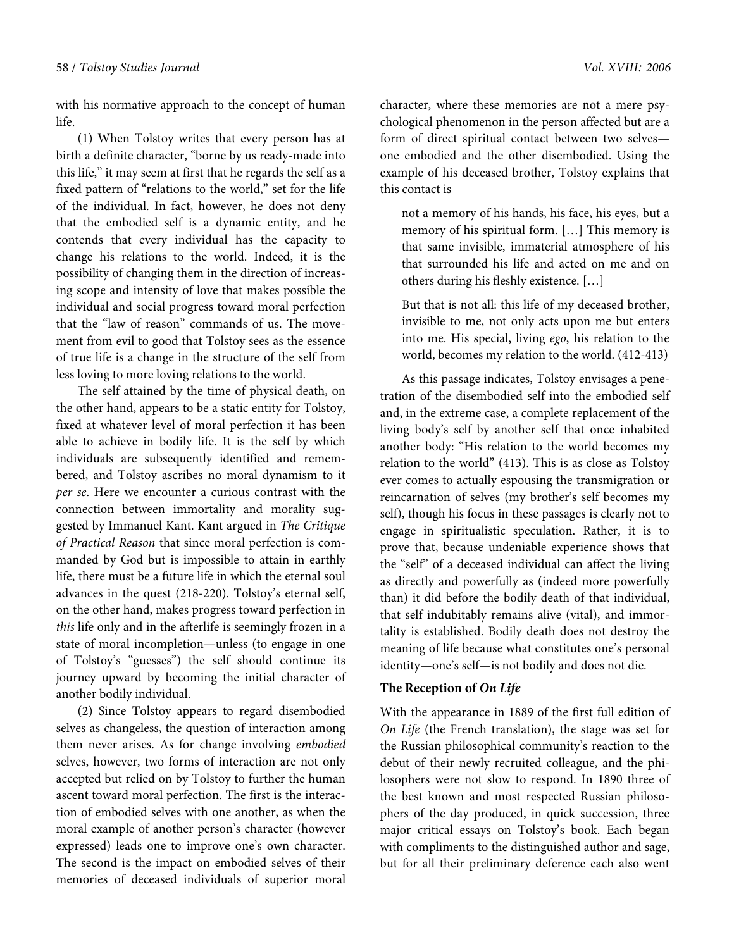with his normative approach to the concept of human life.

(1) When Tolstoy writes that every person has at birth a definite character, "borne by us ready-made into this life," it may seem at first that he regards the self as a fixed pattern of "relations to the world," set for the life of the individual. In fact, however, he does not deny that the embodied self is a dynamic entity, and he contends that every individual has the capacity to change his relations to the world. Indeed, it is the possibility of changing them in the direction of increasing scope and intensity of love that makes possible the individual and social progress toward moral perfection that the "law of reason" commands of us. The movement from evil to good that Tolstoy sees as the essence of true life is a change in the structure of the self from less loving to more loving relations to the world.

The self attained by the time of physical death, on the other hand, appears to be a static entity for Tolstoy, fixed at whatever level of moral perfection it has been able to achieve in bodily life. It is the self by which individuals are subsequently identified and remembered, and Tolstoy ascribes no moral dynamism to it per se. Here we encounter a curious contrast with the connection between immortality and morality suggested by Immanuel Kant. Kant argued in The Critique of Practical Reason that since moral perfection is commanded by God but is impossible to attain in earthly life, there must be a future life in which the eternal soul advances in the quest (218-220). Tolstoy's eternal self, on the other hand, makes progress toward perfection in this life only and in the afterlife is seemingly frozen in a state of moral incompletion—unless (to engage in one of Tolstoy's "guesses") the self should continue its journey upward by becoming the initial character of another bodily individual.

(2) Since Tolstoy appears to regard disembodied selves as changeless, the question of interaction among them never arises. As for change involving embodied selves, however, two forms of interaction are not only accepted but relied on by Tolstoy to further the human ascent toward moral perfection. The first is the interaction of embodied selves with one another, as when the moral example of another person's character (however expressed) leads one to improve one's own character. The second is the impact on embodied selves of their memories of deceased individuals of superior moral character, where these memories are not a mere psychological phenomenon in the person affected but are a form of direct spiritual contact between two selves one embodied and the other disembodied. Using the example of his deceased brother, Tolstoy explains that this contact is

not a memory of his hands, his face, his eyes, but a memory of his spiritual form. […] This memory is that same invisible, immaterial atmosphere of his that surrounded his life and acted on me and on others during his fleshly existence. […]

But that is not all: this life of my deceased brother, invisible to me, not only acts upon me but enters into me. His special, living ego, his relation to the world, becomes my relation to the world. (412-413)

As this passage indicates, Tolstoy envisages a penetration of the disembodied self into the embodied self and, in the extreme case, a complete replacement of the living body's self by another self that once inhabited another body: "His relation to the world becomes my relation to the world" (413). This is as close as Tolstoy ever comes to actually espousing the transmigration or reincarnation of selves (my brother's self becomes my self), though his focus in these passages is clearly not to engage in spiritualistic speculation. Rather, it is to prove that, because undeniable experience shows that the "self" of a deceased individual can affect the living as directly and powerfully as (indeed more powerfully than) it did before the bodily death of that individual, that self indubitably remains alive (vital), and immortality is established. Bodily death does not destroy the meaning of life because what constitutes one's personal identity—one's self—is not bodily and does not die.

## **The Reception of On Life**

With the appearance in 1889 of the first full edition of On Life (the French translation), the stage was set for the Russian philosophical community's reaction to the debut of their newly recruited colleague, and the philosophers were not slow to respond. In 1890 three of the best known and most respected Russian philosophers of the day produced, in quick succession, three major critical essays on Tolstoy's book. Each began with compliments to the distinguished author and sage, but for all their preliminary deference each also went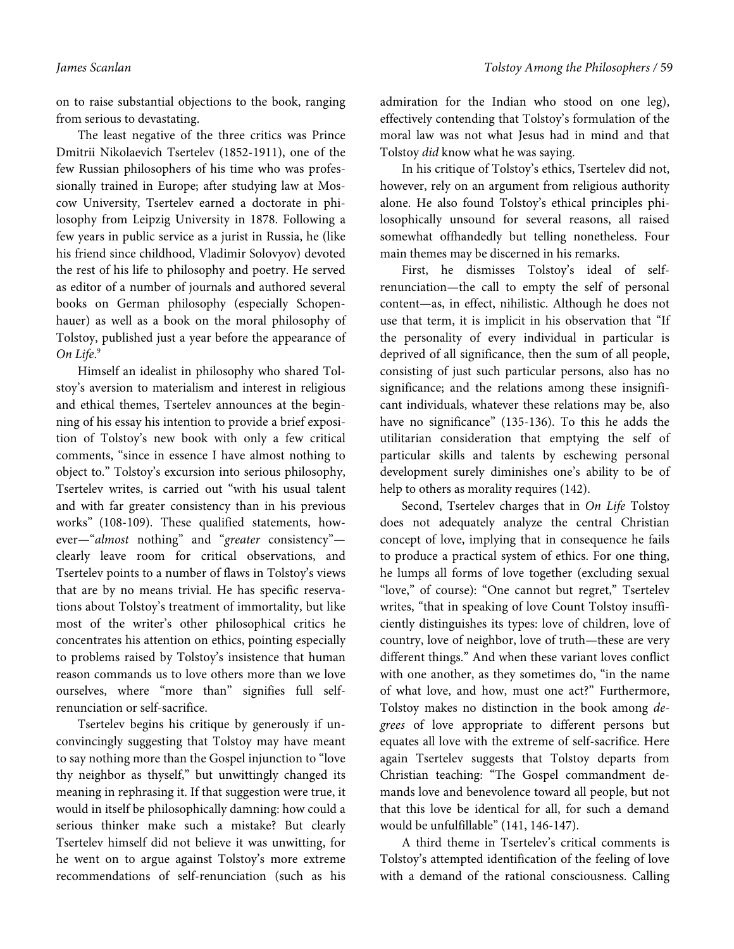on to raise substantial objections to the book, ranging from serious to devastating.

The least negative of the three critics was Prince Dmitrii Nikolaevich Tsertelev (1852-1911), one of the few Russian philosophers of his time who was professionally trained in Europe; after studying law at Moscow University, Tsertelev earned a doctorate in philosophy from Leipzig University in 1878. Following a few years in public service as a jurist in Russia, he (like his friend since childhood, Vladimir Solovyov) devoted the rest of his life to philosophy and poetry. He served as editor of a number of journals and authored several books on German philosophy (especially Schopenhauer) as well as a book on the moral philosophy of Tolstoy, published just a year before the appearance of On Life. 9

Himself an idealist in philosophy who shared Tolstoy's aversion to materialism and interest in religious and ethical themes, Tsertelev announces at the beginning of his essay his intention to provide a brief exposition of Tolstoy's new book with only a few critical comments, "since in essence I have almost nothing to object to." Tolstoy's excursion into serious philosophy, Tsertelev writes, is carried out "with his usual talent and with far greater consistency than in his previous works" (108-109). These qualified statements, however—"almost nothing" and "greater consistency" clearly leave room for critical observations, and Tsertelev points to a number of flaws in Tolstoy's views that are by no means trivial. He has specific reservations about Tolstoy's treatment of immortality, but like most of the writer's other philosophical critics he concentrates his attention on ethics, pointing especially to problems raised by Tolstoy's insistence that human reason commands us to love others more than we love ourselves, where "more than" signifies full selfrenunciation or self-sacrifice.

Tsertelev begins his critique by generously if unconvincingly suggesting that Tolstoy may have meant to say nothing more than the Gospel injunction to "love thy neighbor as thyself," but unwittingly changed its meaning in rephrasing it. If that suggestion were true, it would in itself be philosophically damning: how could a serious thinker make such a mistake? But clearly Tsertelev himself did not believe it was unwitting, for he went on to argue against Tolstoy's more extreme recommendations of self-renunciation (such as his

admiration for the Indian who stood on one leg), effectively contending that Tolstoy's formulation of the moral law was not what Jesus had in mind and that Tolstoy did know what he was saying.

In his critique of Tolstoy's ethics, Tsertelev did not, however, rely on an argument from religious authority alone. He also found Tolstoy's ethical principles philosophically unsound for several reasons, all raised somewhat offhandedly but telling nonetheless. Four main themes may be discerned in his remarks.

First, he dismisses Tolstoy's ideal of selfrenunciation—the call to empty the self of personal content—as, in effect, nihilistic. Although he does not use that term, it is implicit in his observation that "If the personality of every individual in particular is deprived of all significance, then the sum of all people, consisting of just such particular persons, also has no significance; and the relations among these insignificant individuals, whatever these relations may be, also have no significance" (135-136). To this he adds the utilitarian consideration that emptying the self of particular skills and talents by eschewing personal development surely diminishes one's ability to be of help to others as morality requires (142).

Second, Tsertelev charges that in On Life Tolstoy does not adequately analyze the central Christian concept of love, implying that in consequence he fails to produce a practical system of ethics. For one thing, he lumps all forms of love together (excluding sexual "love," of course): "One cannot but regret," Tsertelev writes, "that in speaking of love Count Tolstoy insufficiently distinguishes its types: love of children, love of country, love of neighbor, love of truth—these are very different things." And when these variant loves conflict with one another, as they sometimes do, "in the name of what love, and how, must one act?" Furthermore, Tolstoy makes no distinction in the book among degrees of love appropriate to different persons but equates all love with the extreme of self-sacrifice. Here again Tsertelev suggests that Tolstoy departs from Christian teaching: "The Gospel commandment demands love and benevolence toward all people, but not that this love be identical for all, for such a demand would be unfulfillable" (141, 146-147).

A third theme in Tsertelev's critical comments is Tolstoy's attempted identification of the feeling of love with a demand of the rational consciousness. Calling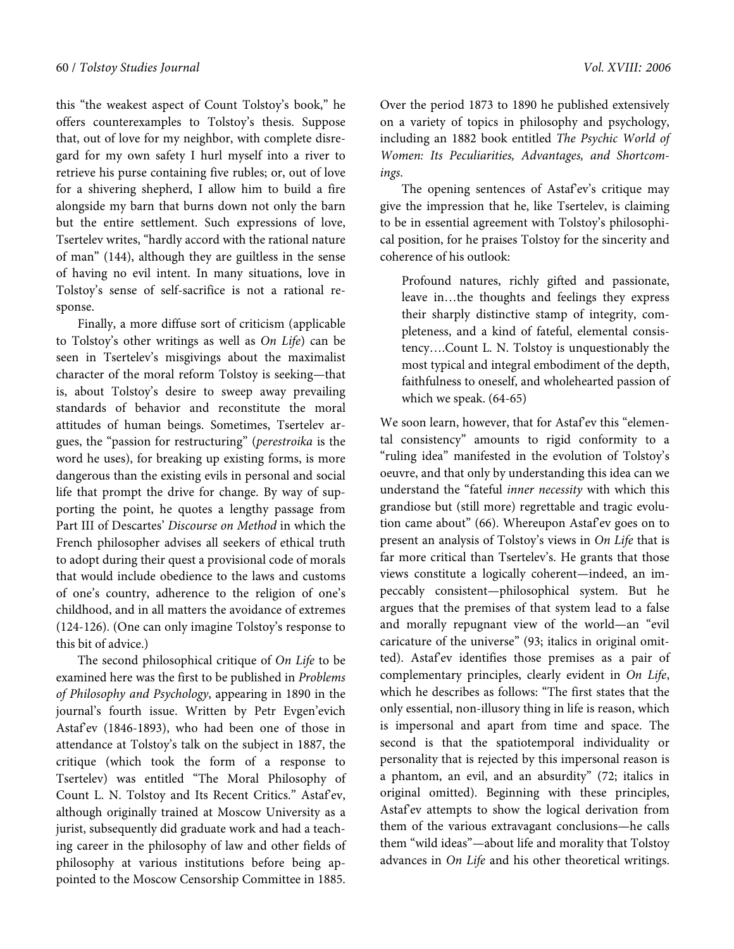this "the weakest aspect of Count Tolstoy's book," he offers counterexamples to Tolstoy's thesis. Suppose that, out of love for my neighbor, with complete disregard for my own safety I hurl myself into a river to retrieve his purse containing five rubles; or, out of love for a shivering shepherd, I allow him to build a fire alongside my barn that burns down not only the barn but the entire settlement. Such expressions of love, Tsertelev writes, "hardly accord with the rational nature of man" (144), although they are guiltless in the sense of having no evil intent. In many situations, love in Tolstoy's sense of self-sacrifice is not a rational response.

Finally, a more diffuse sort of criticism (applicable to Tolstoy's other writings as well as On Life) can be seen in Tsertelev's misgivings about the maximalist character of the moral reform Tolstoy is seeking—that is, about Tolstoy's desire to sweep away prevailing standards of behavior and reconstitute the moral attitudes of human beings. Sometimes, Tsertelev argues, the "passion for restructuring" (perestroika is the word he uses), for breaking up existing forms, is more dangerous than the existing evils in personal and social life that prompt the drive for change. By way of supporting the point, he quotes a lengthy passage from Part III of Descartes' Discourse on Method in which the French philosopher advises all seekers of ethical truth to adopt during their quest a provisional code of morals that would include obedience to the laws and customs of one's country, adherence to the religion of one's childhood, and in all matters the avoidance of extremes (124-126). (One can only imagine Tolstoy's response to this bit of advice.)

The second philosophical critique of On Life to be examined here was the first to be published in Problems of Philosophy and Psychology, appearing in 1890 in the journal's fourth issue. Written by Petr Evgen'evich Astaf'ev (1846-1893), who had been one of those in attendance at Tolstoy's talk on the subject in 1887, the critique (which took the form of a response to Tsertelev) was entitled "The Moral Philosophy of Count L. N. Tolstoy and Its Recent Critics." Astaf'ev, although originally trained at Moscow University as a jurist, subsequently did graduate work and had a teaching career in the philosophy of law and other fields of philosophy at various institutions before being appointed to the Moscow Censorship Committee in 1885.

Over the period 1873 to 1890 he published extensively on a variety of topics in philosophy and psychology, including an 1882 book entitled The Psychic World of Women: Its Peculiarities, Advantages, and Shortcomings.

The opening sentences of Astaf'ev's critique may give the impression that he, like Tsertelev, is claiming to be in essential agreement with Tolstoy's philosophical position, for he praises Tolstoy for the sincerity and coherence of his outlook:

Profound natures, richly gifted and passionate, leave in…the thoughts and feelings they express their sharply distinctive stamp of integrity, completeness, and a kind of fateful, elemental consistency….Count L. N. Tolstoy is unquestionably the most typical and integral embodiment of the depth, faithfulness to oneself, and wholehearted passion of which we speak. (64-65)

We soon learn, however, that for Astaf'ev this "elemental consistency" amounts to rigid conformity to a "ruling idea" manifested in the evolution of Tolstoy's oeuvre, and that only by understanding this idea can we understand the "fateful inner necessity with which this grandiose but (still more) regrettable and tragic evolution came about" (66). Whereupon Astafev goes on to present an analysis of Tolstoy's views in On Life that is far more critical than Tsertelev's. He grants that those views constitute a logically coherent—indeed, an impeccably consistent—philosophical system. But he argues that the premises of that system lead to a false and morally repugnant view of the world—an "evil caricature of the universe" (93; italics in original omitted). Astaf'ev identifies those premises as a pair of complementary principles, clearly evident in On Life, which he describes as follows: "The first states that the only essential, non-illusory thing in life is reason, which is impersonal and apart from time and space. The second is that the spatiotemporal individuality or personality that is rejected by this impersonal reason is a phantom, an evil, and an absurdity" (72; italics in original omitted). Beginning with these principles, Astaf'ev attempts to show the logical derivation from them of the various extravagant conclusions—he calls them "wild ideas"—about life and morality that Tolstoy advances in On Life and his other theoretical writings.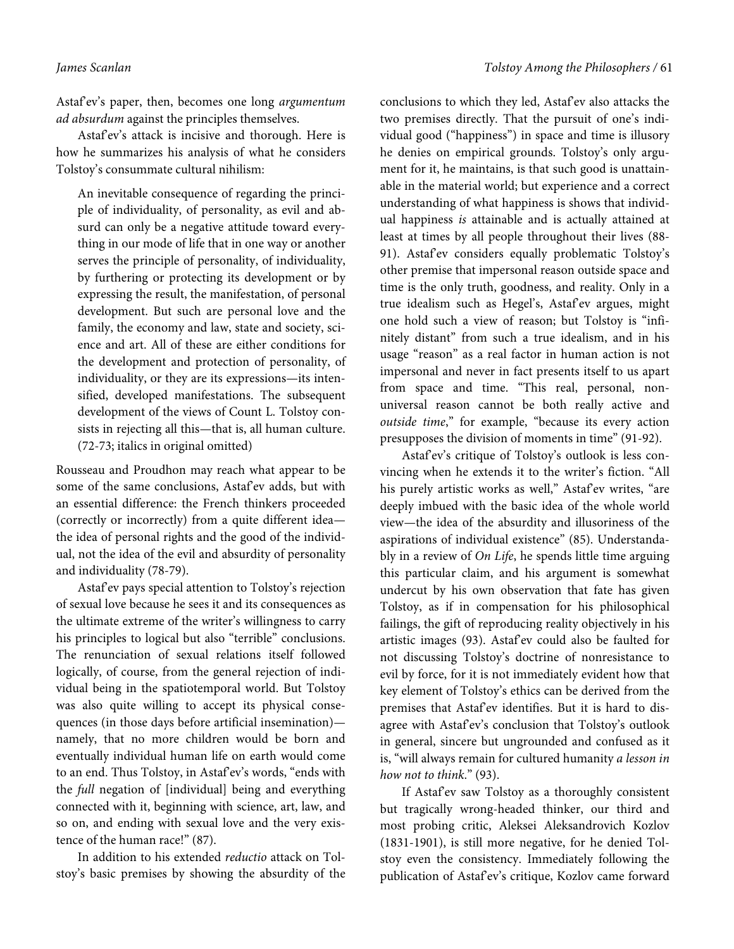Astaf'ev's paper, then, becomes one long argumentum ad absurdum against the principles themselves.

Astaf'ev's attack is incisive and thorough. Here is how he summarizes his analysis of what he considers Tolstoy's consummate cultural nihilism:

An inevitable consequence of regarding the principle of individuality, of personality, as evil and absurd can only be a negative attitude toward everything in our mode of life that in one way or another serves the principle of personality, of individuality, by furthering or protecting its development or by expressing the result, the manifestation, of personal development. But such are personal love and the family, the economy and law, state and society, science and art. All of these are either conditions for the development and protection of personality, of individuality, or they are its expressions—its intensified, developed manifestations. The subsequent development of the views of Count L. Tolstoy consists in rejecting all this—that is, all human culture. (72-73; italics in original omitted)

Rousseau and Proudhon may reach what appear to be some of the same conclusions, Astaf'ev adds, but with an essential difference: the French thinkers proceeded (correctly or incorrectly) from a quite different idea the idea of personal rights and the good of the individual, not the idea of the evil and absurdity of personality and individuality (78-79).

Astaf'ev pays special attention to Tolstoy's rejection of sexual love because he sees it and its consequences as the ultimate extreme of the writer's willingness to carry his principles to logical but also "terrible" conclusions. The renunciation of sexual relations itself followed logically, of course, from the general rejection of individual being in the spatiotemporal world. But Tolstoy was also quite willing to accept its physical consequences (in those days before artificial insemination) namely, that no more children would be born and eventually individual human life on earth would come to an end. Thus Tolstoy, in Astafev's words, "ends with the full negation of [individual] being and everything connected with it, beginning with science, art, law, and so on, and ending with sexual love and the very existence of the human race!" (87).

In addition to his extended reductio attack on Tolstoy's basic premises by showing the absurdity of the

conclusions to which they led, Astaf'ev also attacks the two premises directly. That the pursuit of one's individual good ("happiness") in space and time is illusory he denies on empirical grounds. Tolstoy's only argument for it, he maintains, is that such good is unattainable in the material world; but experience and a correct understanding of what happiness is shows that individual happiness is attainable and is actually attained at least at times by all people throughout their lives (88- 91). Astaf'ev considers equally problematic Tolstoy's other premise that impersonal reason outside space and time is the only truth, goodness, and reality. Only in a true idealism such as Hegel's, Astaf'ev argues, might one hold such a view of reason; but Tolstoy is "infinitely distant" from such a true idealism, and in his usage "reason" as a real factor in human action is not impersonal and never in fact presents itself to us apart from space and time. "This real, personal, nonuniversal reason cannot be both really active and outside time," for example, "because its every action presupposes the division of moments in time" (91-92).

Astaf'ev's critique of Tolstoy's outlook is less convincing when he extends it to the writer's fiction. "All his purely artistic works as well," Astaf'ev writes, "are deeply imbued with the basic idea of the whole world view—the idea of the absurdity and illusoriness of the aspirations of individual existence" (85). Understandably in a review of On Life, he spends little time arguing this particular claim, and his argument is somewhat undercut by his own observation that fate has given Tolstoy, as if in compensation for his philosophical failings, the gift of reproducing reality objectively in his artistic images (93). Astaf'ev could also be faulted for not discussing Tolstoy's doctrine of nonresistance to evil by force, for it is not immediately evident how that key element of Tolstoy's ethics can be derived from the premises that Astaf'ev identifies. But it is hard to disagree with Astaf'ev's conclusion that Tolstoy's outlook in general, sincere but ungrounded and confused as it is, "will always remain for cultured humanity a lesson in how not to think." (93).

If Astaf'ev saw Tolstoy as a thoroughly consistent but tragically wrong-headed thinker, our third and most probing critic, Aleksei Aleksandrovich Kozlov (1831-1901), is still more negative, for he denied Tolstoy even the consistency. Immediately following the publication of Astaf'ev's critique, Kozlov came forward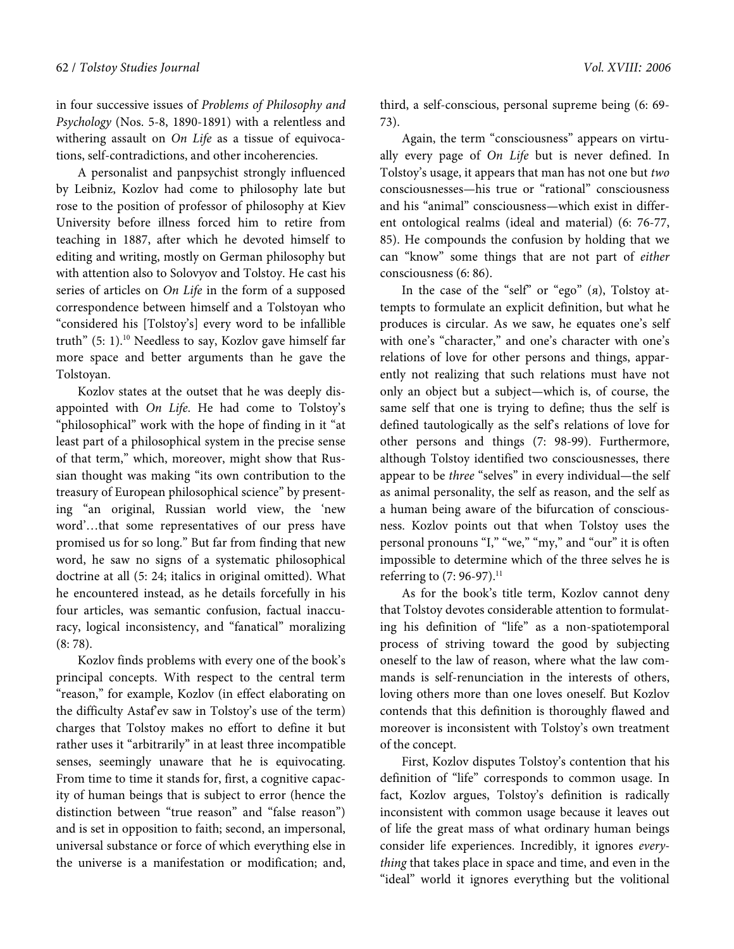in four successive issues of Problems of Philosophy and Psychology (Nos. 5-8, 1890-1891) with a relentless and withering assault on On Life as a tissue of equivocations, self-contradictions, and other incoherencies.

A personalist and panpsychist strongly influenced by Leibniz, Kozlov had come to philosophy late but rose to the position of professor of philosophy at Kiev University before illness forced him to retire from teaching in 1887, after which he devoted himself to editing and writing, mostly on German philosophy but with attention also to Solovyov and Tolstoy. He cast his series of articles on *On Life* in the form of a supposed correspondence between himself and a Tolstoyan who "considered his [Tolstoy's] every word to be infallible truth"  $(5: 1)$ .<sup>10</sup> Needless to say, Kozlov gave himself far more space and better arguments than he gave the Tolstoyan.

Kozlov states at the outset that he was deeply disappointed with On Life. He had come to Tolstoy's "philosophical" work with the hope of finding in it "at least part of a philosophical system in the precise sense of that term," which, moreover, might show that Russian thought was making "its own contribution to the treasury of European philosophical science" by presenting "an original, Russian world view, the 'new word'…that some representatives of our press have promised us for so long." But far from finding that new word, he saw no signs of a systematic philosophical doctrine at all (5: 24; italics in original omitted). What he encountered instead, as he details forcefully in his four articles, was semantic confusion, factual inaccuracy, logical inconsistency, and "fanatical" moralizing (8: 78).

Kozlov finds problems with every one of the book's principal concepts. With respect to the central term "reason," for example, Kozlov (in effect elaborating on the difficulty Astaf'ev saw in Tolstoy's use of the term) charges that Tolstoy makes no effort to define it but rather uses it "arbitrarily" in at least three incompatible senses, seemingly unaware that he is equivocating. From time to time it stands for, first, a cognitive capacity of human beings that is subject to error (hence the distinction between "true reason" and "false reason") and is set in opposition to faith; second, an impersonal, universal substance or force of which everything else in the universe is a manifestation or modification; and,

third, a self-conscious, personal supreme being (6: 69- 73).

Again, the term "consciousness" appears on virtually every page of On Life but is never defined. In Tolstoy's usage, it appears that man has not one but two consciousnesses—his true or "rational" consciousness and his "animal" consciousness—which exist in different ontological realms (ideal and material) (6: 76-77, 85). He compounds the confusion by holding that we can "know" some things that are not part of either consciousness (6: 86).

In the case of the "self" or "ego" (я), Tolstoy attempts to formulate an explicit definition, but what he produces is circular. As we saw, he equates one's self with one's "character," and one's character with one's relations of love for other persons and things, apparently not realizing that such relations must have not only an object but a subject—which is, of course, the same self that one is trying to define; thus the self is defined tautologically as the self's relations of love for other persons and things (7: 98-99). Furthermore, although Tolstoy identified two consciousnesses, there appear to be three "selves" in every individual—the self as animal personality, the self as reason, and the self as a human being aware of the bifurcation of consciousness. Kozlov points out that when Tolstoy uses the personal pronouns "I," "we," "my," and "our" it is often impossible to determine which of the three selves he is referring to  $(7: 96-97).$ <sup>11</sup>

As for the book's title term, Kozlov cannot deny that Tolstoy devotes considerable attention to formulating his definition of "life" as a non-spatiotemporal process of striving toward the good by subjecting oneself to the law of reason, where what the law commands is self-renunciation in the interests of others, loving others more than one loves oneself. But Kozlov contends that this definition is thoroughly flawed and moreover is inconsistent with Tolstoy's own treatment of the concept.

First, Kozlov disputes Tolstoy's contention that his definition of "life" corresponds to common usage. In fact, Kozlov argues, Tolstoy's definition is radically inconsistent with common usage because it leaves out of life the great mass of what ordinary human beings consider life experiences. Incredibly, it ignores everything that takes place in space and time, and even in the "ideal" world it ignores everything but the volitional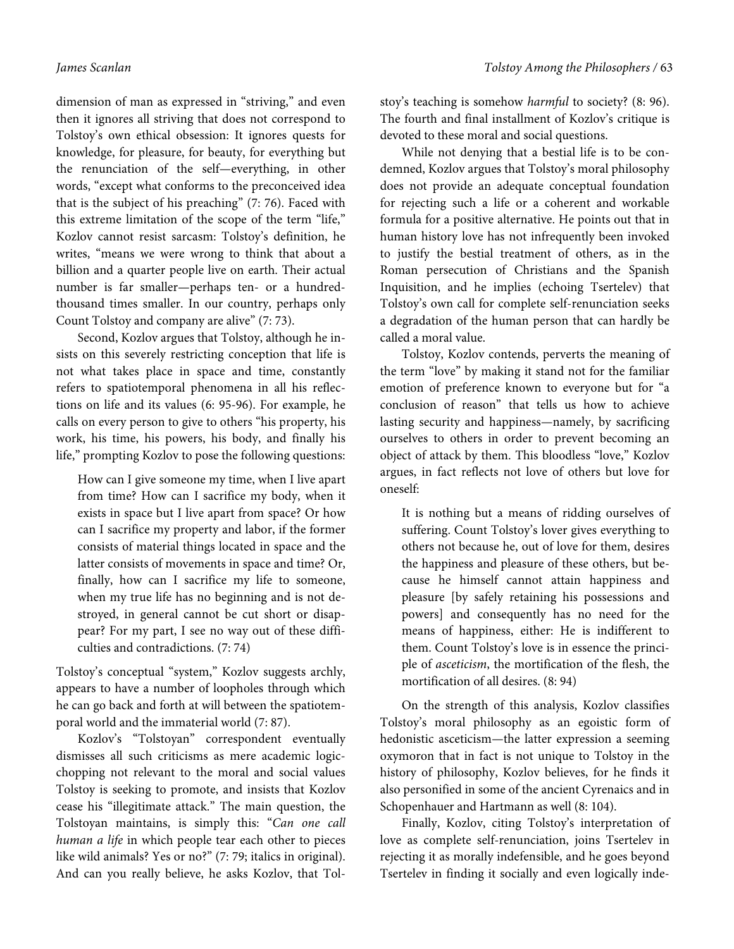dimension of man as expressed in "striving," and even then it ignores all striving that does not correspond to Tolstoy's own ethical obsession: It ignores quests for knowledge, for pleasure, for beauty, for everything but the renunciation of the self—everything, in other words, "except what conforms to the preconceived idea that is the subject of his preaching" (7: 76). Faced with this extreme limitation of the scope of the term "life," Kozlov cannot resist sarcasm: Tolstoy's definition, he writes, "means we were wrong to think that about a billion and a quarter people live on earth. Their actual number is far smaller—perhaps ten- or a hundredthousand times smaller. In our country, perhaps only Count Tolstoy and company are alive" (7: 73).

Second, Kozlov argues that Tolstoy, although he insists on this severely restricting conception that life is not what takes place in space and time, constantly refers to spatiotemporal phenomena in all his reflections on life and its values (6: 95-96). For example, he calls on every person to give to others "his property, his work, his time, his powers, his body, and finally his life," prompting Kozlov to pose the following questions:

How can I give someone my time, when I live apart from time? How can I sacrifice my body, when it exists in space but I live apart from space? Or how can I sacrifice my property and labor, if the former consists of material things located in space and the latter consists of movements in space and time? Or, finally, how can I sacrifice my life to someone, when my true life has no beginning and is not destroyed, in general cannot be cut short or disappear? For my part, I see no way out of these difficulties and contradictions. (7: 74)

Tolstoy's conceptual "system," Kozlov suggests archly, appears to have a number of loopholes through which he can go back and forth at will between the spatiotemporal world and the immaterial world (7: 87).

Kozlov's "Tolstoyan" correspondent eventually dismisses all such criticisms as mere academic logicchopping not relevant to the moral and social values Tolstoy is seeking to promote, and insists that Kozlov cease his "illegitimate attack." The main question, the Tolstoyan maintains, is simply this: "Can one call human a life in which people tear each other to pieces like wild animals? Yes or no?" (7: 79; italics in original). And can you really believe, he asks Kozlov, that Tolstoy's teaching is somehow harmful to society? (8: 96). The fourth and final installment of Kozlov's critique is devoted to these moral and social questions.

While not denying that a bestial life is to be condemned, Kozlov argues that Tolstoy's moral philosophy does not provide an adequate conceptual foundation for rejecting such a life or a coherent and workable formula for a positive alternative. He points out that in human history love has not infrequently been invoked to justify the bestial treatment of others, as in the Roman persecution of Christians and the Spanish Inquisition, and he implies (echoing Tsertelev) that Tolstoy's own call for complete self-renunciation seeks a degradation of the human person that can hardly be called a moral value.

Tolstoy, Kozlov contends, perverts the meaning of the term "love" by making it stand not for the familiar emotion of preference known to everyone but for "a conclusion of reason" that tells us how to achieve lasting security and happiness—namely, by sacrificing ourselves to others in order to prevent becoming an object of attack by them. This bloodless "love," Kozlov argues, in fact reflects not love of others but love for oneself:

It is nothing but a means of ridding ourselves of suffering. Count Tolstoy's lover gives everything to others not because he, out of love for them, desires the happiness and pleasure of these others, but because he himself cannot attain happiness and pleasure [by safely retaining his possessions and powers] and consequently has no need for the means of happiness, either: He is indifferent to them. Count Tolstoy's love is in essence the principle of asceticism, the mortification of the flesh, the mortification of all desires. (8: 94)

On the strength of this analysis, Kozlov classifies Tolstoy's moral philosophy as an egoistic form of hedonistic asceticism—the latter expression a seeming oxymoron that in fact is not unique to Tolstoy in the history of philosophy, Kozlov believes, for he finds it also personified in some of the ancient Cyrenaics and in Schopenhauer and Hartmann as well (8: 104).

Finally, Kozlov, citing Tolstoy's interpretation of love as complete self-renunciation, joins Tsertelev in rejecting it as morally indefensible, and he goes beyond Tsertelev in finding it socially and even logically inde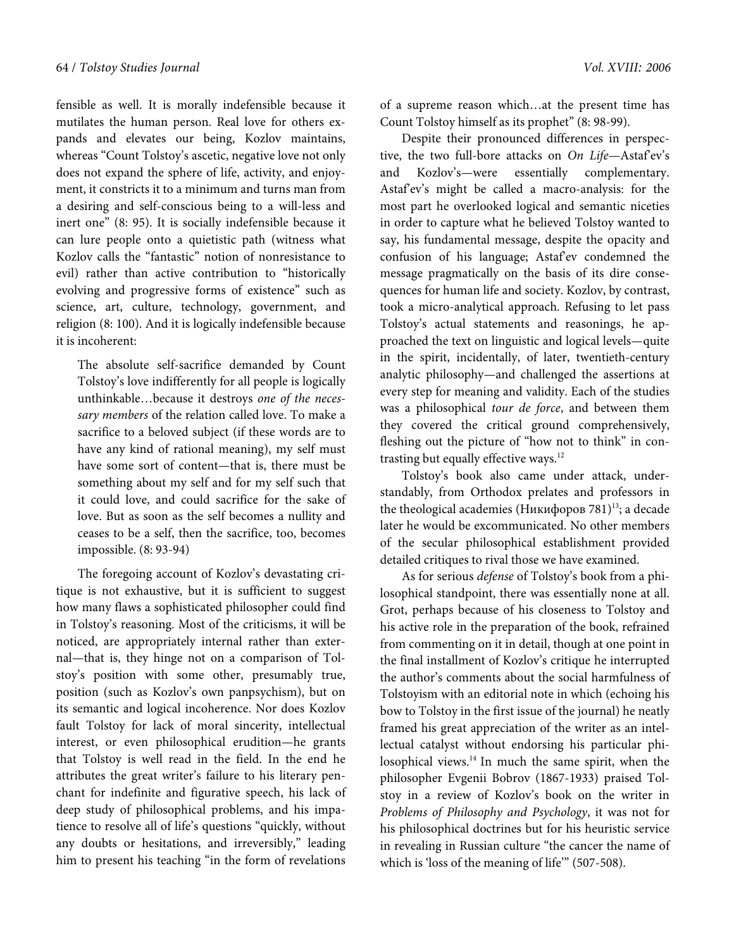fensible as well. It is morally indefensible because it mutilates the human person. Real love for others expands and elevates our being, Kozlov maintains, whereas "Count Tolstoy's ascetic, negative love not only does not expand the sphere of life, activity, and enjoyment, it constricts it to a minimum and turns man from a desiring and self-conscious being to a will-less and inert one" (8: 95). It is socially indefensible because it can lure people onto a quietistic path (witness what Kozlov calls the "fantastic" notion of nonresistance to evil) rather than active contribution to "historically evolving and progressive forms of existence" such as science, art, culture, technology, government, and religion (8: 100). And it is logically indefensible because it is incoherent:

The absolute self-sacrifice demanded by Count Tolstoy's love indifferently for all people is logically unthinkable…because it destroys one of the necessary members of the relation called love. To make a sacrifice to a beloved subject (if these words are to have any kind of rational meaning), my self must have some sort of content—that is, there must be something about my self and for my self such that it could love, and could sacrifice for the sake of love. But as soon as the self becomes a nullity and ceases to be a self, then the sacrifice, too, becomes impossible. (8: 93-94)

The foregoing account of Kozlov's devastating critique is not exhaustive, but it is sufficient to suggest how many flaws a sophisticated philosopher could find in Tolstoy's reasoning. Most of the criticisms, it will be noticed, are appropriately internal rather than external—that is, they hinge not on a comparison of Tolstoy's position with some other, presumably true, position (such as Kozlov's own panpsychism), but on its semantic and logical incoherence. Nor does Kozlov fault Tolstoy for lack of moral sincerity, intellectual interest, or even philosophical erudition—he grants that Tolstoy is well read in the field. In the end he attributes the great writer's failure to his literary penchant for indefinite and figurative speech, his lack of deep study of philosophical problems, and his impatience to resolve all of life's questions "quickly, without any doubts or hesitations, and irreversibly," leading him to present his teaching "in the form of revelations

of a supreme reason which…at the present time has Count Tolstoy himself as its prophet" (8: 98-99).

Despite their pronounced differences in perspective, the two full-bore attacks on On Life-Astaf'ev's and Kozlov's—were essentially complementary. Astaf'ev's might be called a macro-analysis: for the most part he overlooked logical and semantic niceties in order to capture what he believed Tolstoy wanted to say, his fundamental message, despite the opacity and confusion of his language; Astaf'ev condemned the message pragmatically on the basis of its dire consequences for human life and society. Kozlov, by contrast, took a micro-analytical approach. Refusing to let pass Tolstoy's actual statements and reasonings, he approached the text on linguistic and logical levels—quite in the spirit, incidentally, of later, twentieth-century analytic philosophy—and challenged the assertions at every step for meaning and validity. Each of the studies was a philosophical tour de force, and between them they covered the critical ground comprehensively, fleshing out the picture of "how not to think" in contrasting but equally effective ways.<sup>12</sup>

Tolstoy's book also came under attack, understandably, from Orthodox prelates and professors in the theological academies (Никифоров 781)<sup>13</sup>; a decade later he would be excommunicated. No other members of the secular philosophical establishment provided detailed critiques to rival those we have examined.

As for serious defense of Tolstoy's book from a philosophical standpoint, there was essentially none at all. Grot, perhaps because of his closeness to Tolstoy and his active role in the preparation of the book, refrained from commenting on it in detail, though at one point in the final installment of Kozlov's critique he interrupted the author's comments about the social harmfulness of Tolstoyism with an editorial note in which (echoing his bow to Tolstoy in the first issue of the journal) he neatly framed his great appreciation of the writer as an intellectual catalyst without endorsing his particular philosophical views.<sup>14</sup> In much the same spirit, when the philosopher Evgenii Bobrov (1867-1933) praised Tolstoy in a review of Kozlov's book on the writer in Problems of Philosophy and Psychology, it was not for his philosophical doctrines but for his heuristic service in revealing in Russian culture "the cancer the name of which is 'loss of the meaning of life'" (507-508).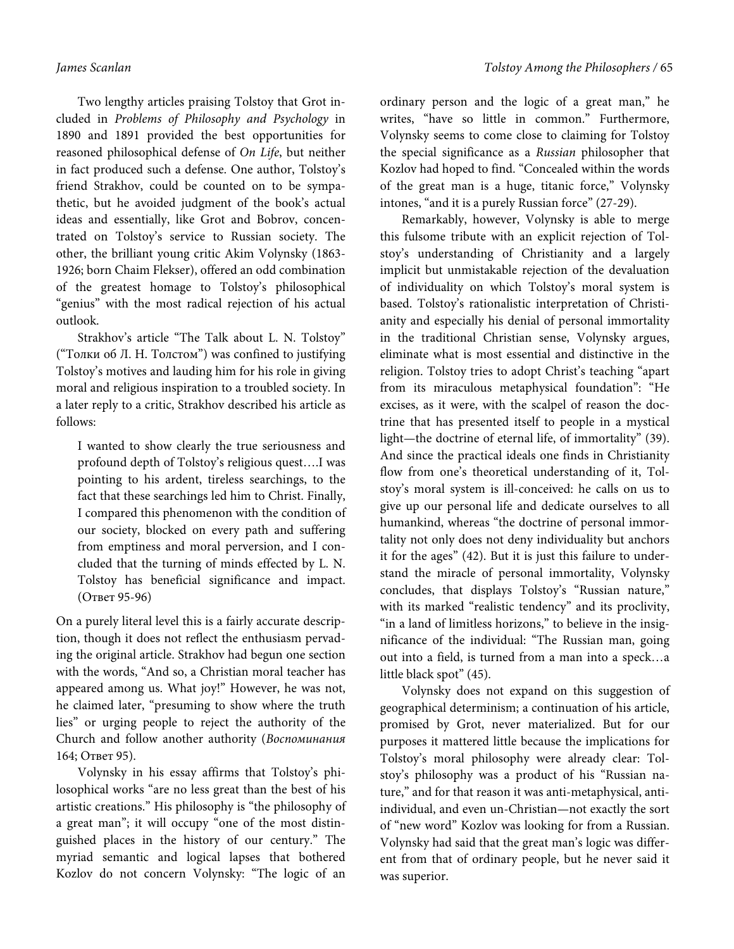Two lengthy articles praising Tolstoy that Grot included in Problems of Philosophy and Psychology in 1890 and 1891 provided the best opportunities for reasoned philosophical defense of On Life, but neither in fact produced such a defense. One author, Tolstoy's friend Strakhov, could be counted on to be sympathetic, but he avoided judgment of the book's actual ideas and essentially, like Grot and Bobrov, concentrated on Tolstoy's service to Russian society. The other, the brilliant young critic Akim Volynsky (1863- 1926; born Chaim Flekser), offered an odd combination of the greatest homage to Tolstoy's philosophical "genius" with the most radical rejection of his actual outlook.

Strakhov's article "The Talk about L. N. Tolstoy" ("Толки об Л. Н. Толстом") was confined to justifying Tolstoy's motives and lauding him for his role in giving moral and religious inspiration to a troubled society. In a later reply to a critic, Strakhov described his article as follows:

I wanted to show clearly the true seriousness and profound depth of Tolstoy's religious quest….I was pointing to his ardent, tireless searchings, to the fact that these searchings led him to Christ. Finally, I compared this phenomenon with the condition of our society, blocked on every path and suffering from emptiness and moral perversion, and I concluded that the turning of minds effected by L. N. Tolstoy has beneficial significance and impact. (Ответ 95-96)

On a purely literal level this is a fairly accurate description, though it does not reflect the enthusiasm pervading the original article. Strakhov had begun one section with the words, "And so, a Christian moral teacher has appeared among us. What joy!" However, he was not, he claimed later, "presuming to show where the truth lies" or urging people to reject the authority of the Church and follow another authority (Воспоминания 164; Ответ 95).

Volynsky in his essay affirms that Tolstoy's philosophical works "are no less great than the best of his artistic creations." His philosophy is "the philosophy of a great man"; it will occupy "one of the most distinguished places in the history of our century." The myriad semantic and logical lapses that bothered Kozlov do not concern Volynsky: "The logic of an

ordinary person and the logic of a great man," he writes, "have so little in common." Furthermore, Volynsky seems to come close to claiming for Tolstoy the special significance as a Russian philosopher that Kozlov had hoped to find. "Concealed within the words of the great man is a huge, titanic force," Volynsky intones, "and it is a purely Russian force" (27-29).

Remarkably, however, Volynsky is able to merge this fulsome tribute with an explicit rejection of Tolstoy's understanding of Christianity and a largely implicit but unmistakable rejection of the devaluation of individuality on which Tolstoy's moral system is based. Tolstoy's rationalistic interpretation of Christianity and especially his denial of personal immortality in the traditional Christian sense, Volynsky argues, eliminate what is most essential and distinctive in the religion. Tolstoy tries to adopt Christ's teaching "apart from its miraculous metaphysical foundation": "He excises, as it were, with the scalpel of reason the doctrine that has presented itself to people in a mystical light—the doctrine of eternal life, of immortality" (39). And since the practical ideals one finds in Christianity flow from one's theoretical understanding of it, Tolstoy's moral system is ill-conceived: he calls on us to give up our personal life and dedicate ourselves to all humankind, whereas "the doctrine of personal immortality not only does not deny individuality but anchors it for the ages" (42). But it is just this failure to understand the miracle of personal immortality, Volynsky concludes, that displays Tolstoy's "Russian nature," with its marked "realistic tendency" and its proclivity, "in a land of limitless horizons," to believe in the insignificance of the individual: "The Russian man, going out into a field, is turned from a man into a speck…a little black spot" (45).

Volynsky does not expand on this suggestion of geographical determinism; a continuation of his article, promised by Grot, never materialized. But for our purposes it mattered little because the implications for Tolstoy's moral philosophy were already clear: Tolstoy's philosophy was a product of his "Russian nature," and for that reason it was anti-metaphysical, antiindividual, and even un-Christian—not exactly the sort of "new word" Kozlov was looking for from a Russian. Volynsky had said that the great man's logic was different from that of ordinary people, but he never said it was superior.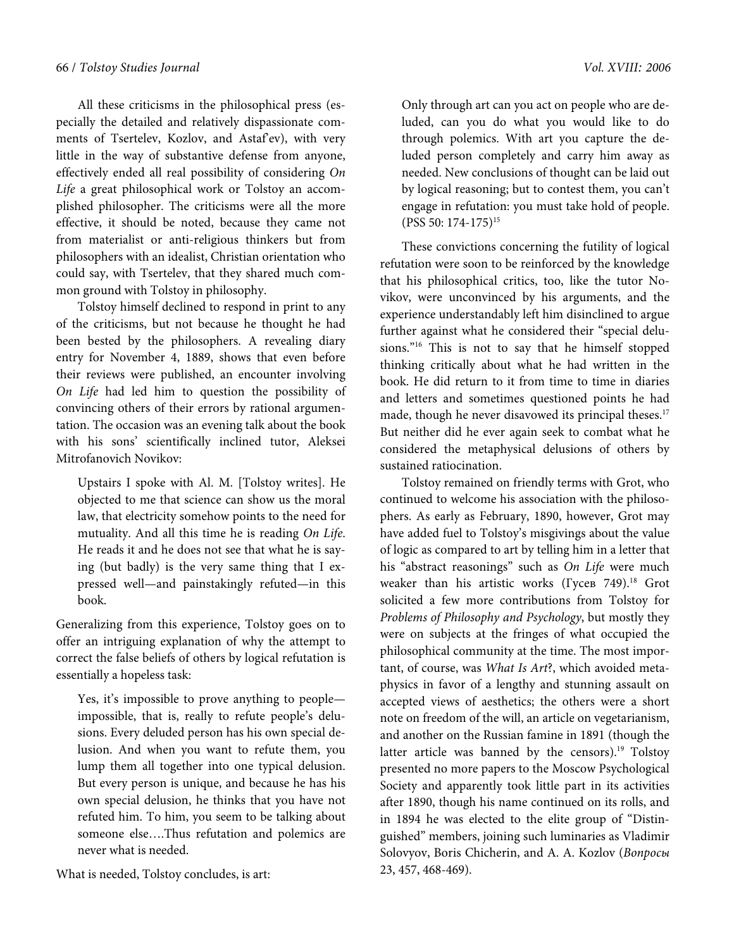All these criticisms in the philosophical press (especially the detailed and relatively dispassionate comments of Tsertelev, Kozlov, and Astaf'ev), with very little in the way of substantive defense from anyone, effectively ended all real possibility of considering On Life a great philosophical work or Tolstoy an accomplished philosopher. The criticisms were all the more effective, it should be noted, because they came not from materialist or anti-religious thinkers but from philosophers with an idealist, Christian orientation who could say, with Tsertelev, that they shared much common ground with Tolstoy in philosophy.

Tolstoy himself declined to respond in print to any of the criticisms, but not because he thought he had been bested by the philosophers. A revealing diary entry for November 4, 1889, shows that even before their reviews were published, an encounter involving On Life had led him to question the possibility of convincing others of their errors by rational argumentation. The occasion was an evening talk about the book with his sons' scientifically inclined tutor, Aleksei Mitrofanovich Novikov:

Upstairs I spoke with Al. M. [Tolstoy writes]. He objected to me that science can show us the moral law, that electricity somehow points to the need for mutuality. And all this time he is reading On Life. He reads it and he does not see that what he is saying (but badly) is the very same thing that I expressed well—and painstakingly refuted—in this book.

Generalizing from this experience, Tolstoy goes on to offer an intriguing explanation of why the attempt to correct the false beliefs of others by logical refutation is essentially a hopeless task:

Yes, it's impossible to prove anything to people impossible, that is, really to refute people's delusions. Every deluded person has his own special delusion. And when you want to refute them, you lump them all together into one typical delusion. But every person is unique, and because he has his own special delusion, he thinks that you have not refuted him. To him, you seem to be talking about someone else….Thus refutation and polemics are never what is needed.

What is needed, Tolstoy concludes, is art:

Only through art can you act on people who are deluded, can you do what you would like to do through polemics. With art you capture the deluded person completely and carry him away as needed. New conclusions of thought can be laid out by logical reasoning; but to contest them, you can't engage in refutation: you must take hold of people. (PSS 50: 174-175)<sup>15</sup>

These convictions concerning the futility of logical refutation were soon to be reinforced by the knowledge that his philosophical critics, too, like the tutor Novikov, were unconvinced by his arguments, and the experience understandably left him disinclined to argue further against what he considered their "special delusions."<sup>16</sup> This is not to say that he himself stopped thinking critically about what he had written in the book. He did return to it from time to time in diaries and letters and sometimes questioned points he had made, though he never disavowed its principal theses.<sup>17</sup> But neither did he ever again seek to combat what he considered the metaphysical delusions of others by sustained ratiocination.

Tolstoy remained on friendly terms with Grot, who continued to welcome his association with the philosophers. As early as February, 1890, however, Grot may have added fuel to Tolstoy's misgivings about the value of logic as compared to art by telling him in a letter that his "abstract reasonings" such as On Life were much weaker than his artistic works (Гусев 749).<sup>18</sup> Grot solicited a few more contributions from Tolstoy for Problems of Philosophy and Psychology, but mostly they were on subjects at the fringes of what occupied the philosophical community at the time. The most important, of course, was What Is Art?, which avoided metaphysics in favor of a lengthy and stunning assault on accepted views of aesthetics; the others were a short note on freedom of the will, an article on vegetarianism, and another on the Russian famine in 1891 (though the latter article was banned by the censors).<sup>19</sup> Tolstoy presented no more papers to the Moscow Psychological Society and apparently took little part in its activities after 1890, though his name continued on its rolls, and in 1894 he was elected to the elite group of "Distinguished" members, joining such luminaries as Vladimir Solovyov, Boris Chicherin, and A. A. Kozlov (Вопросы 23, 457, 468-469).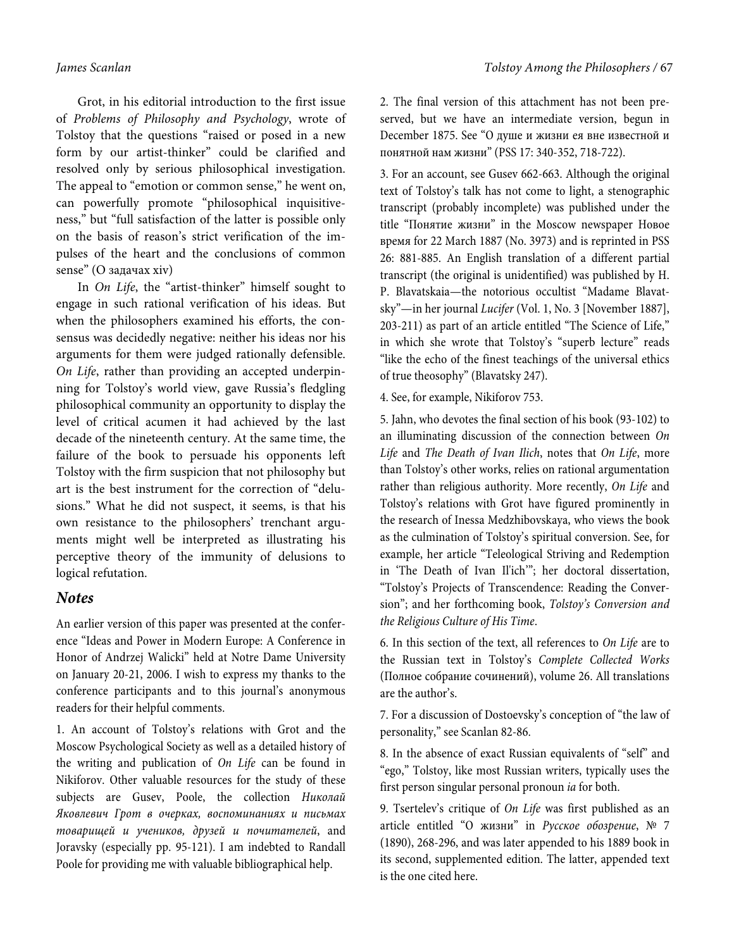Grot, in his editorial introduction to the first issue of Problems of Philosophy and Psychology, wrote of Tolstoy that the questions "raised or posed in a new form by our artist-thinker" could be clarified and resolved only by serious philosophical investigation. The appeal to "emotion or common sense," he went on, can powerfully promote "philosophical inquisitiveness," but "full satisfaction of the latter is possible only on the basis of reason's strict verification of the impulses of the heart and the conclusions of common sense" (О задачах xiv)

In On Life, the "artist-thinker" himself sought to engage in such rational verification of his ideas. But when the philosophers examined his efforts, the consensus was decidedly negative: neither his ideas nor his arguments for them were judged rationally defensible. On Life, rather than providing an accepted underpinning for Tolstoy's world view, gave Russia's fledgling philosophical community an opportunity to display the level of critical acumen it had achieved by the last decade of the nineteenth century. At the same time, the failure of the book to persuade his opponents left Tolstoy with the firm suspicion that not philosophy but art is the best instrument for the correction of "delusions." What he did not suspect, it seems, is that his own resistance to the philosophers' trenchant arguments might well be interpreted as illustrating his perceptive theory of the immunity of delusions to logical refutation.

## **Notes**

An earlier version of this paper was presented at the conference "Ideas and Power in Modern Europe: A Conference in Honor of Andrzej Walicki" held at Notre Dame University on January 20-21, 2006. I wish to express my thanks to the conference participants and to this journal's anonymous readers for their helpful comments.

1. An account of Tolstoy's relations with Grot and the Moscow Psychological Society as well as a detailed history of the writing and publication of On Life can be found in Nikiforov. Other valuable resources for the study of these subjects are Gusev, Poole, the collection Николай Яковлевич Грот в очерках, воспоминаниях и письмах товарищей и учеников, друзей и почитателей, and Joravsky (especially pp. 95-121). I am indebted to Randall Poole for providing me with valuable bibliographical help.

2. The final version of this attachment has not been preserved, but we have an intermediate version, begun in December 1875. See "О душе и жизни ея вне известной и понятной нам жизни" (PSS 17: 340-352, 718-722).

3. For an account, see Gusev 662-663. Although the original text of Tolstoy's talk has not come to light, a stenographic transcript (probably incomplete) was published under the title "Понятие жизни" in the Moscow newspaper Новое время for 22 March 1887 (No. 3973) and is reprinted in PSS 26: 881-885. An English translation of a different partial transcript (the original is unidentified) was published by H. P. Blavatskaia—the notorious occultist "Madame Blavatsky"—in her journal Lucifer (Vol. 1, No. 3 [November 1887], 203-211) as part of an article entitled "The Science of Life," in which she wrote that Tolstoy's "superb lecture" reads "like the echo of the finest teachings of the universal ethics of true theosophy" (Blavatsky 247).

4. See, for example, Nikiforov 753.

5. Jahn, who devotes the final section of his book (93-102) to an illuminating discussion of the connection between On Life and The Death of Ivan Ilich, notes that On Life, more than Tolstoy's other works, relies on rational argumentation rather than religious authority. More recently, On Life and Tolstoy's relations with Grot have figured prominently in the research of Inessa Medzhibovskaya, who views the book as the culmination of Tolstoy's spiritual conversion. See, for example, her article "Teleological Striving and Redemption in 'The Death of Ivan Il'ich'"; her doctoral dissertation, "Tolstoy's Projects of Transcendence: Reading the Conversion"; and her forthcoming book, Tolstoy's Conversion and the Religious Culture of His Time.

6. In this section of the text, all references to On Life are to the Russian text in Tolstoy's Complete Collected Works (Полное собрание сочинений), volume 26. All translations are the author's.

7. For a discussion of Dostoevsky's conception of "the law of personality," see Scanlan 82-86.

8. In the absence of exact Russian equivalents of "self" and "ego," Tolstoy, like most Russian writers, typically uses the first person singular personal pronoun ia for both.

9. Tsertelev's critique of On Life was first published as an article entitled "О жизни" in Русское обозрение, № 7 (1890), 268-296, and was later appended to his 1889 book in its second, supplemented edition. The latter, appended text is the one cited here.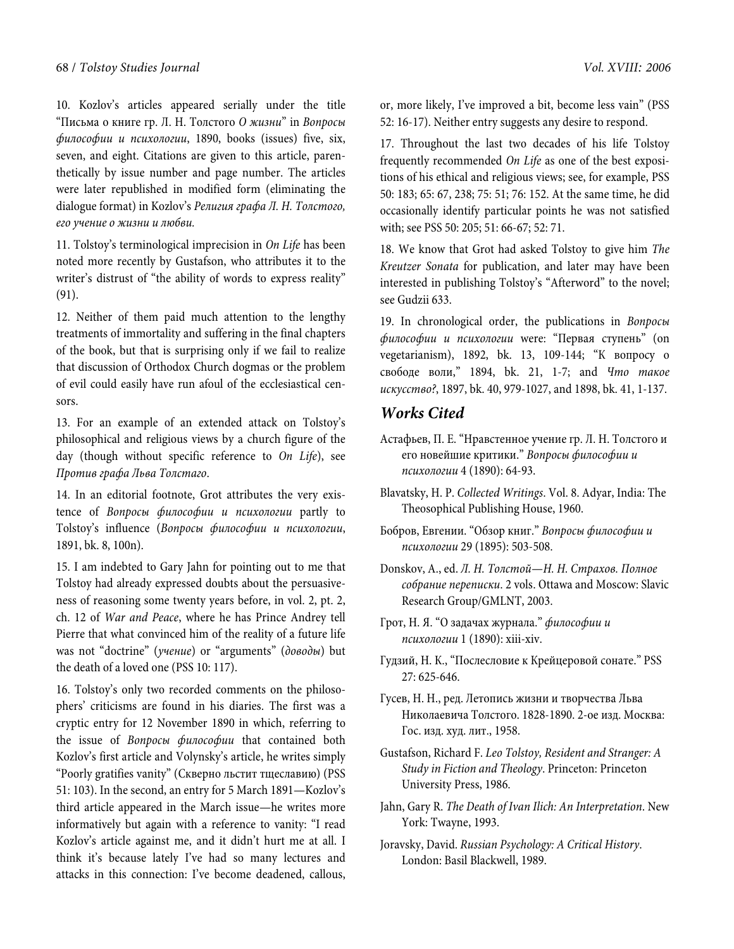10. Kozlov's articles appeared serially under the title "Письма о книге гр. Л. Н. Толстого О жизни" in Вопросы философии и психологии, 1890, books (issues) five, six, seven, and eight. Citations are given to this article, parenthetically by issue number and page number. The articles were later republished in modified form (eliminating the dialogue format) in Kozlov's Религия графа Л. Н. Толстого, его учение о жизни и любви.

11. Tolstoy's terminological imprecision in On Life has been noted more recently by Gustafson, who attributes it to the writer's distrust of "the ability of words to express reality" (91).

12. Neither of them paid much attention to the lengthy treatments of immortality and suffering in the final chapters of the book, but that is surprising only if we fail to realize that discussion of Orthodox Church dogmas or the problem of evil could easily have run afoul of the ecclesiastical censors.

13. For an example of an extended attack on Tolstoy's philosophical and religious views by a church figure of the day (though without specific reference to On Life), see Против графа Льва Толстаго.

14. In an editorial footnote, Grot attributes the very existence of Вопросы философии и психологии partly to Tolstoy's influence (Вопросы философии и психологии, 1891, bk. 8, 100n).

15. I am indebted to Gary Jahn for pointing out to me that Tolstoy had already expressed doubts about the persuasiveness of reasoning some twenty years before, in vol. 2, pt. 2, ch. 12 of War and Peace, where he has Prince Andrey tell Pierre that what convinced him of the reality of a future life was not "doctrine" (учение) or "arguments" (доводы) but the death of a loved one (PSS 10: 117).

16. Tolstoy's only two recorded comments on the philosophers' criticisms are found in his diaries. The first was a cryptic entry for 12 November 1890 in which, referring to the issue of Вопросы философии that contained both Kozlov's first article and Volynsky's article, he writes simply "Poorly gratifies vanity" (Скверно льстит тщеславию) (PSS 51: 103). In the second, an entry for 5 March 1891—Kozlov's third article appeared in the March issue—he writes more informatively but again with a reference to vanity: "I read Kozlov's article against me, and it didn't hurt me at all. I think it's because lately I've had so many lectures and attacks in this connection: I've become deadened, callous,

or, more likely, I've improved a bit, become less vain" (PSS 52: 16-17). Neither entry suggests any desire to respond.

17. Throughout the last two decades of his life Tolstoy frequently recommended On Life as one of the best expositions of his ethical and religious views; see, for example, PSS 50: 183; 65: 67, 238; 75: 51; 76: 152. At the same time, he did occasionally identify particular points he was not satisfied with; see PSS 50: 205; 51: 66-67; 52: 71.

18. We know that Grot had asked Tolstoy to give him The Kreutzer Sonata for publication, and later may have been interested in publishing Tolstoy's "Afterword" to the novel; see Gudzii 633.

19. In chronological order, the publications in Вопросы философии и психологии were: "Первая ступень" (on vegetarianism), 1892, bk. 13, 109-144; "К вопросу о свободе воли," 1894, bk. 21, 1-7; and Что такое искусство?, 1897, bk. 40, 979-1027, and 1898, bk. 41, 1-137.

# **Works Cited**

- Астафьев, П. Е. "Нравстенное учение гр. Л. Н. Толстого и его новейшие критики." Вопросы философии и психологии 4 (1890): 64-93.
- Blavatsky, H. P. Collected Writings. Vol. 8. Adyar, India: The Theosophical Publishing House, 1960.
- Бобров, Евгении. "Обзор книг." Вопросы философии и психологии 29 (1895): 503-508.
- Donskov, А., ed. Л. Н. Толстой—Н. Н. Страхов. Полное собрание переписки. 2 vols. Ottawa and Moscow: Slavic Research Group/GMLNT, 2003.
- Грот, Н. Я. "О задачах журнала." философии и психологии 1 (1890): xiii-xiv.
- Гудзий, Н. К., "Послесловие к Крейцеровой сонате." PSS 27: 625-646.
- Гусев, Н. Н., ред. Летопись жизни и творчества Льва Николаевича Толстого. 1828-1890. 2-ое изд. Москва: Гос. изд. худ. лит., 1958.
- Gustafson, Richard F. Leo Tolstoy, Resident and Stranger: A Study in Fiction and Theology. Princeton: Princeton University Press, 1986.
- Jahn, Gary R. The Death of Ivan Ilich: An Interpretation. New York: Twayne, 1993.
- Joravsky, David. Russian Psychology: A Critical History. London: Basil Blackwell, 1989.